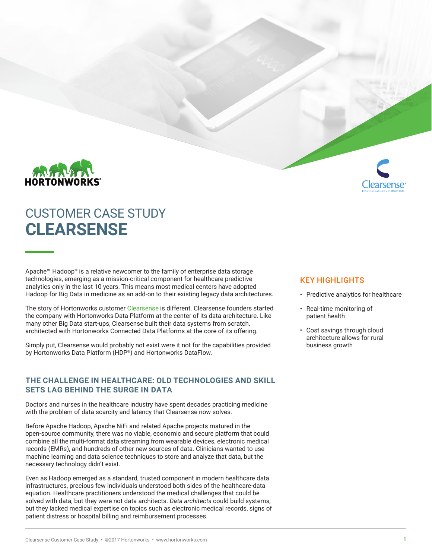



# CUSTOMER CASE STUDY **CLEARSENSE**

Apache™ Hadoop® is a relative newcomer to the family of enterprise data storage technologies, emerging as a mission-critical component for healthcare predictive analytics only in the last 10 years. This means most medical centers have adopted Hadoop for Big Data in medicine as an add-on to their existing legacy data architectures.

The story of Hortonworks customer [Clearsense](http://clearsense.com/) is different. Clearsense founders started the company with Hortonworks Data Platform at the center of its data architecture. Like many other Big Data start-ups, Clearsense built their data systems from scratch, architected with Hortonworks Connected Data Platforms at the core of its offering.

Simply put, Clearsense would probably not exist were it not for the capabilities provided by Hortonworks Data Platform (HDP**®**) and Hortonworks DataFlow.

## **THE CHALLENGE IN HEALTHCARE: OLD TECHNOLOGIES AND SKILL SETS LAG BEHIND THE SURGE IN DATA**

Doctors and nurses in the healthcare industry have spent decades practicing medicine with the problem of data scarcity and latency that Clearsense now solves.

Before Apache Hadoop, Apache NiFi and related Apache projects matured in the open-source community, there was no viable, economic and secure platform that could combine all the multi-format data streaming from wearable devices, electronic medical records (EMRs), and hundreds of other new sources of data. Clinicians wanted to use machine learning and data science techniques to store and analyze that data, but the necessary technology didn't exist.

Even as Hadoop emerged as a standard, trusted component in modern healthcare data infrastructures, precious few individuals understood both sides of the healthcare-data equation. Healthcare practitioners understood the medical challenges that could be solved with data, but they were not data architects. *Data architects* could build systems, but they lacked medical expertise on topics such as electronic medical records, signs of patient distress or hospital billing and reimbursement processes.

### KEY HIGHLIGHTS

- Predictive analytics for healthcare
- Real-time monitoring of patient health
- Cost savings through cloud architecture allows for rural business growth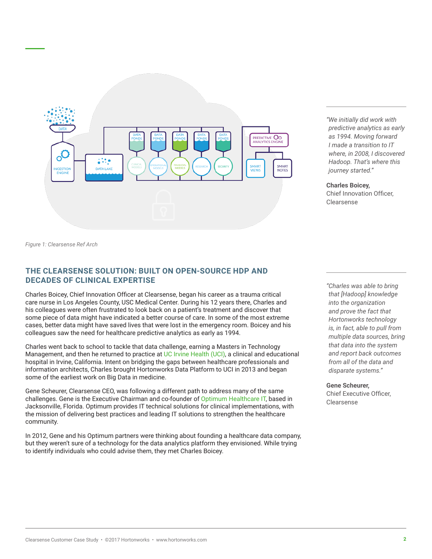

*"We initially did work with predictive analytics as early as 1994. Moving forward I made a transition to IT where, in 2008, I discovered Hadoop. That's where this journey started."* 

**Charles Boicey,**

Chief Innovation Officer, Clearsense

*Figure 1: Clearsense Ref Arch*

## **THE CLEARSENSE SOLUTION: BUILT ON OPEN-SOURCE HDP AND DECADES OF CLINICAL EXPERTISE**

Charles Boicey, Chief Innovation Officer at Clearsense, began his career as a trauma critical care nurse in Los Angeles County, USC Medical Center. During his 12 years there, Charles and his colleagues were often frustrated to look back on a patient's treatment and discover that some piece of data might have indicated a better course of care. In some of the most extreme cases, better data might have saved lives that were lost in the emergency room. Boicey and his colleagues saw the need for healthcare predictive analytics as early as 1994.

Charles went back to school to tackle that data challenge, earning a Masters in Technology Management, and then he returned to practice at [UC Irvine Health \(UCI\)](https://hortonworks.com/customers/uc-irvine-health/), a clinical and educational hospital in Irvine, California. Intent on bridging the gaps between healthcare professionals and information architects, Charles brought Hortonworks Data Platform to UCI in 2013 and began some of the earliest work on Big Data in medicine.

Gene Scheurer, Clearsense CEO, was following a different path to address many of the same challenges. Gene is the Executive Chairman and co-founder of [Optimum Healthcare IT,](http://www.optimumhit.com/) based in Jacksonville, Florida. Optimum provides IT technical solutions for clinical implementations, with the mission of delivering best practices and leading IT solutions to strengthen the healthcare community.

In 2012, Gene and his Optimum partners were thinking about founding a healthcare data company, but they weren't sure of a technology for the data analytics platform they envisioned. While trying to identify individuals who could advise them, they met Charles Boicey.

*"Charles was able to bring that [Hadoop] knowledge into the organization and prove the fact that Hortonworks technology is, in fact, able to pull from multiple data sources, bring that data into the system and report back outcomes from all of the data and disparate systems."*

**Gene Scheurer,** Chief Executive Officer, Clearsense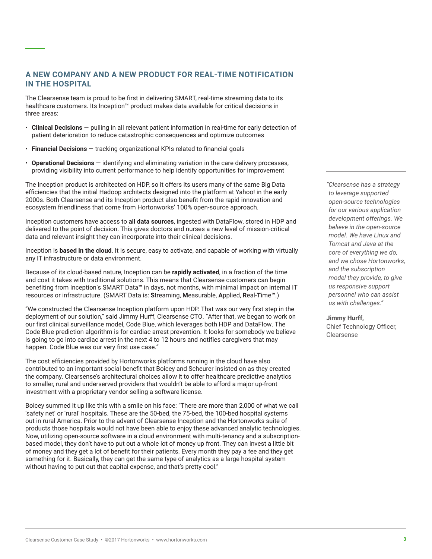## **A NEW COMPANY AND A NEW PRODUCT FOR REAL-TIME NOTIFICATION IN THE HOSPITAL**

The Clearsense team is proud to be first in delivering SMART, real-time streaming data to its healthcare customers. Its [Inception™](http://clearsense.com/inception/) product makes data available for critical decisions in three areas:

- **Clinical Decisions**  pulling in all relevant patient information in real-time for early detection of patient deterioration to reduce catastrophic consequences and optimize outcomes
- **Financial Decisions**  tracking organizational KPIs related to financial goals
- **Operational Decisions** identifying and eliminating variation in the care delivery processes, providing visibility into current performance to help identify opportunities for improvement

The Inception product is architected on HDP, so it offers its users many of the same Big Data efficiencies that the initial Hadoop architects designed into the platform at Yahoo! in the early 2000s. Both Clearsense and its Inception product also benefit from the rapid innovation and ecosystem friendliness that come from Hortonworks' 100% open-source approach.

Inception customers have access to **all data sources**, ingested with DataFlow, stored in HDP and delivered to the point of decision. This gives doctors and nurses a new level of mission-critical data and relevant insight they can incorporate into their clinical decisions.

Inception is **based in the cloud**. It is secure, easy to activate, and capable of working with virtually any IT infrastructure or data environment.

Because of its cloud-based nature, Inception can be **rapidly activated**, in a fraction of the time and cost it takes with traditional solutions. This means that Clearsense customers can begin benefiting from Inception's SMART Data**™** in days, not months, with minimal impact on internal IT resources or infrastructure. (SMART Data is: **S**treaming, **M**easurable, **A**pplied, **R**eal-**T**ime**™**.)

"We constructed the Clearsense Inception platform upon HDP. That was our very first step in the deployment of our solution," said Jimmy Hurff, Clearsense CTO. "After that, we began to work on our first clinical surveillance model, Code Blue, which leverages both HDP and DataFlow. The Code Blue prediction algorithm is for cardiac arrest prevention. It looks for somebody we believe is going to go into cardiac arrest in the next 4 to 12 hours and notifies caregivers that may happen. Code Blue was our very first use case."

The cost efficiencies provided by Hortonworks platforms running in the cloud have also contributed to an important social benefit that Boicey and Scheurer insisted on as they created the company. Clearsense's architectural choices allow it to offer healthcare predictive analytics to smaller, rural and underserved providers that wouldn't be able to afford a major up-front investment with a proprietary vendor selling a software license.

Boicey summed it up like this with a smile on his face: "There are more than 2,000 of what we call 'safety net' or 'rural' hospitals. These are the 50-bed, the 75-bed, the 100-bed hospital systems out in rural America. Prior to the advent of Clearsense Inception and the Hortonworks suite of products those hospitals would not have been able to enjoy these advanced analytic technologies. Now, utilizing open-source software in a cloud environment with multi-tenancy and a subscriptionbased model, they don't have to put out a whole lot of money up front. They can invest a little bit of money and they get a lot of benefit for their patients. Every month they pay a fee and they get something for it. Basically, they can get the same type of analytics as a large hospital system without having to put out that capital expense, and that's pretty cool."

*"Clearsense has a strategy to leverage supported open-source technologies for our various application development offerings. We believe in the open-source model. We have Linux and Tomcat and Java at the core of everything we do, and we chose Hortonworks, and the subscription model they provide, to give us responsive support personnel who can assist us with challenges."*

**Jimmy Hurff,** 

Chief Technology Officer, Clearsense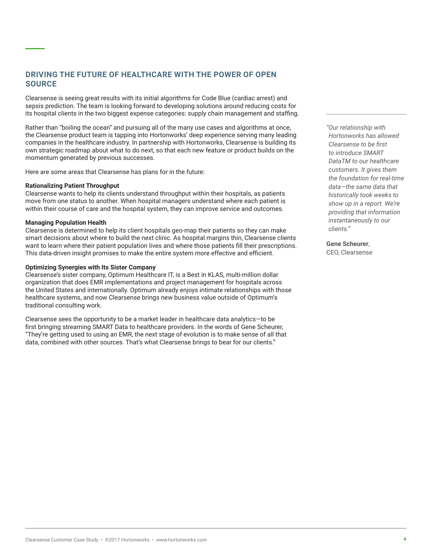## **DRIVING THE FUTURE OF HEALTHCARE WITH THE POWER OF OPEN SOURCE**

Clearsense is seeing great results with its initial algorithms for Code Blue (cardiac arrest) and sepsis prediction. The team is looking forward to developing solutions around reducing costs for its hospital clients in the two biggest expense categories: supply chain management and staffing.

Rather than "boiling the ocean" and pursuing all of the many use cases and algorithms at once, the Clearsense product team is tapping into Hortonworks' deep experience serving many leading companies in the healthcare industry. In partnership with Hortonworks, Clearsense is building its own strategic roadmap about what to do next, so that each new feature or product builds on the momentum generated by previous successes.

Here are some areas that Clearsense has plans for in the future:

#### **Rationalizing Patient Throughput**

Clearsense wants to help its clients understand throughput within their hospitals, as patients move from one status to another. When hospital managers understand where each patient is within their course of care and the hospital system, they can improve service and outcomes.

#### **Managing Population Health**

Clearsense is determined to help its client hospitals geo-map their patients so they can make smart decisions about where to build the next clinic. As hospital margins thin, Clearsense clients want to learn where their patient population lives and where those patients fill their prescriptions. This data-driven insight promises to make the entire system more effective and efficient.

#### **Optimizing Synergies with Its Sister Company**

Clearsense's sister company, Optimum Healthcare IT, is a Best in KLAS, multi-million dollar organization that does EMR implementations and project management for hospitals across the United States and internationally. Optimum already enjoys intimate relationships with those healthcare systems, and now Clearsense brings new business value outside of Optimum's traditional consulting work.

Clearsense sees the opportunity to be a market leader in healthcare data analytics—to be first bringing streaming SMART Data to healthcare providers. In the words of Gene Scheurer, "They're getting used to using an EMR, the next stage of evolution is to make sense of all that data, combined with other sources. That's what Clearsense brings to bear for our clients."

*"Our relationship with Hortonworks has allowed Clearsense to be first to introduce SMART DataTM to our healthcare customers. It gives them the foundation for real-time data—the same data that historically took weeks to show up in a report. We're providing that information instantaneously to our clients."*

**Gene Scheurer**, CEO, Clearsense